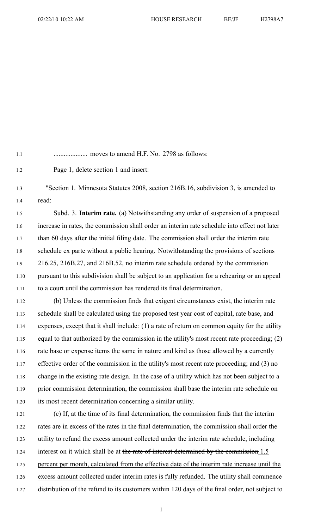1.1 .................... moves to amend H.F. No. 2798 as follows:

1.2 Page 1, delete section 1 and insert:

1.3 "Section 1. Minnesota Statutes 2008, section 216B.16, subdivision 3, is amended to 1.4 read:

1.5 Subd. 3. **Interim rate.** (a) Notwithstanding any order of suspension of <sup>a</sup> proposed 1.6 increase in rates, the commission shall order an interim rate schedule into effect not later 1.7 than 60 days after the initial filing date. The commission shall order the interim rate 1.8 schedule ex parte without <sup>a</sup> public hearing. Notwithstanding the provisions of sections 1.9 216.25, 216B.27, and 216B.52, no interim rate schedule ordered by the commission 1.10 pursuan<sup>t</sup> to this subdivision shall be subject to an application for <sup>a</sup> rehearing or an appeal 1.11 to <sup>a</sup> court until the commission has rendered its final determination.

1.12 (b) Unless the commission finds that exigent circumstances exist, the interim rate 1.13 schedule shall be calculated using the proposed test year cost of capital, rate base, and 1.14 expenses, excep<sup>t</sup> that it shall include: (1) <sup>a</sup> rate of return on common equity for the utility 1.15 equal to that authorized by the commission in the utility's most recent rate proceeding; (2) 1.16 rate base or expense items the same in nature and kind as those allowed by <sup>a</sup> currently 1.17 effective order of the commission in the utility's most recent rate proceeding; and (3) no 1.18 change in the existing rate design. In the case of <sup>a</sup> utility which has not been subject to <sup>a</sup> 1.19 prior commission determination, the commission shall base the interim rate schedule on 1.20 its most recent determination concerning <sup>a</sup> similar utility.

1.21 (c) If, at the time of its final determination, the commission finds that the interim 1.22 rates are in excess of the rates in the final determination, the commission shall order the 1.23 utility to refund the excess amount collected under the interim rate schedule, including 1.24 interest on it which shall be at the rate of interest determined by the commission 1.5 1.25 percent per month, calculated from the effective date of the interim rate increase until the 1.26 excess amount collected under interim rates is fully refunded. The utility shall commence 1.27 distribution of the refund to its customers within 120 days of the final order, not subject to

1